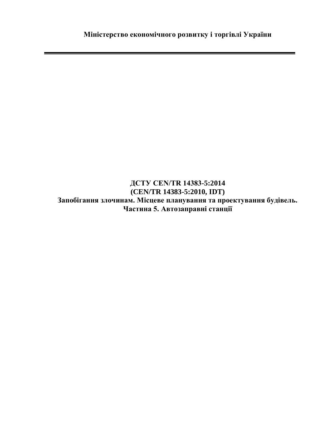**ДСТУ CEN/TR 14383-5:2014 (CEN/TR 14383-5:2010, IDT) Запобігання злочинам. Місцеве планування та проектування будівель. Частина 5. Автозаправні станції**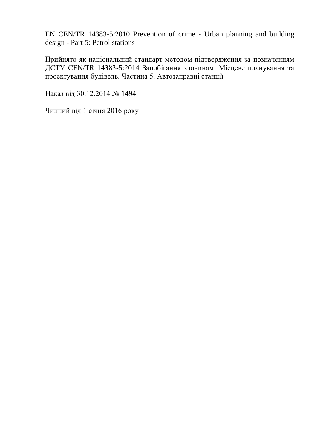EN CEN/TR 14383-5:2010 Prevention of crime - Urban planning and building design - Part 5: Petrol stations

Прийнято як національний стандарт методом підтвердження за позначенням ДСТУ CEN/TR 14383-5:2014 Запобігання злочинам. Місцеве планування та проектування будівель. Частина 5. Автозаправні станції

Наказ від 30.12.2014 № 1494

Чинний від 1 січня 2016 року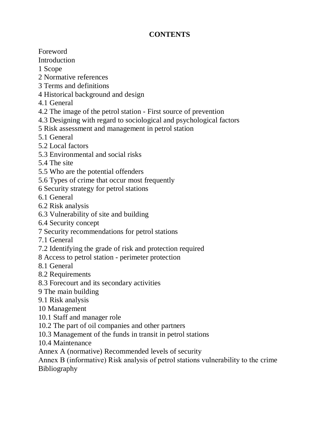## **CONTENTS**

Foreword

Introduction

1 Scope

2 Normative references

- 3 Terms and definitions
- 4 Historical background and design
- 4.1 General
- 4.2 The image of the petrol station First source of prevention
- 4.3 Designing with regard to sociological and psychological factors
- 5 Risk assessment and management in petrol station
- 5.1 General
- 5.2 Local factors
- 5.3 Environmental and social risks
- 5.4 The site
- 5.5 Who are the potential offenders
- 5.6 Types of crime that occur most frequently
- 6 Security strategy for petrol stations

6.1 General

- 6.2 Risk analysis
- 6.3 Vulnerability of site and building
- 6.4 Security concept
- 7 Security recommendations for petrol stations
- 7.1 General
- 7.2 Identifying the grade of risk and protection required
- 8 Access to petrol station perimeter protection
- 8.1 General
- 8.2 Requirements
- 8.3 Forecourt and its secondary activities
- 9 The main building
- 9.1 Risk analysis
- 10 Management
- 10.1 Staff and manager role
- 10.2 The part of oil companies and other partners
- 10.3 Management of the funds in transit in petrol stations
- 10.4 Maintenance
- Annex A (normative) Recommended levels of security

Annex В (informative) Risk analysis of petrol stations vulnerability to the crime Bibliography